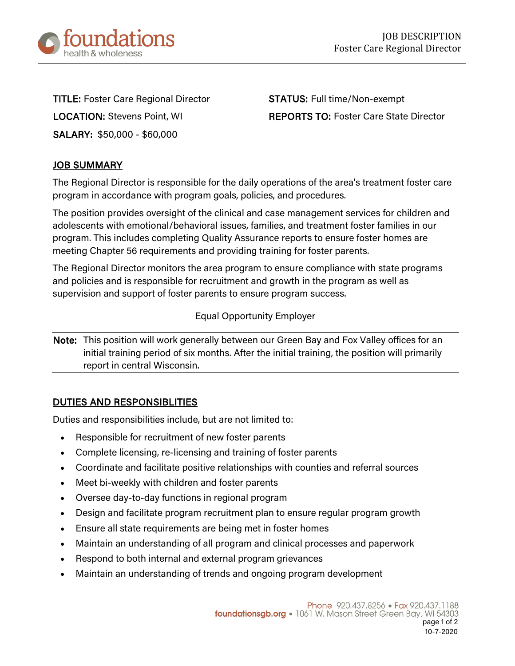

TITLE: Foster Care Regional Director STATUS: Full time/Non-exempt SALARY: \$50,000 - \$60,000

LOCATION: Stevens Point, WI REPORTS TO: Foster Care State Director

# JOB SUMMARY

The Regional Director is responsible for the daily operations of the area's treatment foster care program in accordance with program goals, policies, and procedures.

The position provides oversight of the clinical and case management services for children and adolescents with emotional/behavioral issues, families, and treatment foster families in our program. This includes completing Quality Assurance reports to ensure foster homes are meeting Chapter 56 requirements and providing training for foster parents.

The Regional Director monitors the area program to ensure compliance with state programs and policies and is responsible for recruitment and growth in the program as well as supervision and support of foster parents to ensure program success.

### Equal Opportunity Employer

Note: This position will work generally between our Green Bay and Fox Valley offices for an initial training period of six months. After the initial training, the position will primarily report in central Wisconsin.

## DUTIES AND RESPONSIBLITIES

Duties and responsibilities include, but are not limited to:

- Responsible for recruitment of new foster parents
- Complete licensing, re-licensing and training of foster parents
- Coordinate and facilitate positive relationships with counties and referral sources
- Meet bi-weekly with children and foster parents
- Oversee day-to-day functions in regional program
- Design and facilitate program recruitment plan to ensure regular program growth
- Ensure all state requirements are being met in foster homes
- Maintain an understanding of all program and clinical processes and paperwork
- Respond to both internal and external program grievances
- Maintain an understanding of trends and ongoing program development